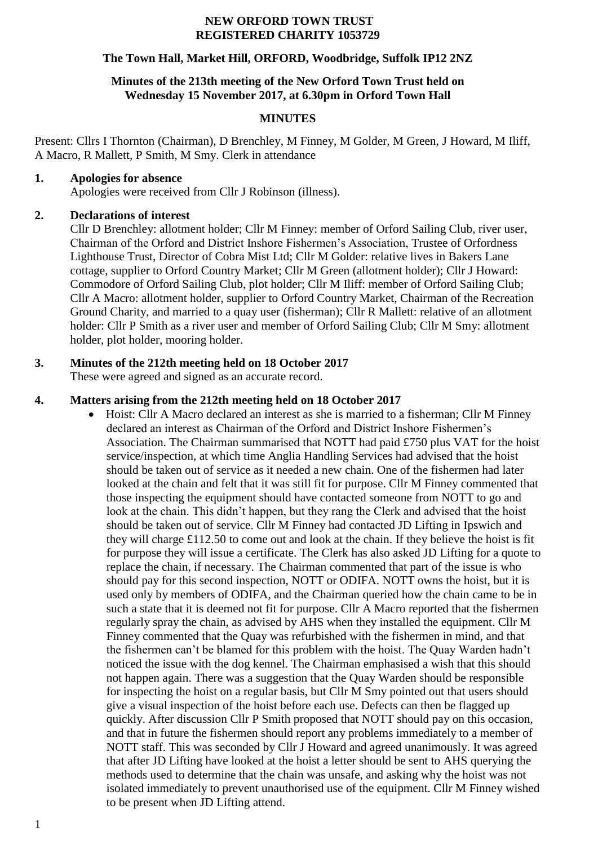#### **NEW ORFORD TOWN TRUST REGISTERED CHARITY 1053729**

#### **The Town Hall, Market Hill, ORFORD, Woodbridge, Suffolk IP12 2NZ**

#### **Minutes of the 213th meeting of the New Orford Town Trust held on Wednesday 15 November 2017, at 6.30pm in Orford Town Hall**

### **MINUTES**

Present: Cllrs I Thornton (Chairman), D Brenchley, M Finney, M Golder, M Green, J Howard, M Iliff, A Macro, R Mallett, P Smith, M Smy. Clerk in attendance

### **1. Apologies for absence**

Apologies were received from Cllr J Robinson (illness).

### **2. Declarations of interest**

Cllr D Brenchley: allotment holder; Cllr M Finney: member of Orford Sailing Club, river user, Chairman of the Orford and District Inshore Fishermen's Association, Trustee of Orfordness Lighthouse Trust, Director of Cobra Mist Ltd; Cllr M Golder: relative lives in Bakers Lane cottage, supplier to Orford Country Market; Cllr M Green (allotment holder); Cllr J Howard: Commodore of Orford Sailing Club, plot holder; Cllr M Iliff: member of Orford Sailing Club; Cllr A Macro: allotment holder, supplier to Orford Country Market, Chairman of the Recreation Ground Charity, and married to a quay user (fisherman); Cllr R Mallett: relative of an allotment holder: Cllr P Smith as a river user and member of Orford Sailing Club; Cllr M Smy: allotment holder, plot holder, mooring holder.

# **3. Minutes of the 212th meeting held on 18 October 2017**

These were agreed and signed as an accurate record.

### **4. Matters arising from the 212th meeting held on 18 October 2017**

 Hoist: Cllr A Macro declared an interest as she is married to a fisherman; Cllr M Finney declared an interest as Chairman of the Orford and District Inshore Fishermen's Association. The Chairman summarised that NOTT had paid £750 plus VAT for the hoist service/inspection, at which time Anglia Handling Services had advised that the hoist should be taken out of service as it needed a new chain. One of the fishermen had later looked at the chain and felt that it was still fit for purpose. Cllr M Finney commented that those inspecting the equipment should have contacted someone from NOTT to go and look at the chain. This didn't happen, but they rang the Clerk and advised that the hoist should be taken out of service. Cllr M Finney had contacted JD Lifting in Ipswich and they will charge £112.50 to come out and look at the chain. If they believe the hoist is fit for purpose they will issue a certificate. The Clerk has also asked JD Lifting for a quote to replace the chain, if necessary. The Chairman commented that part of the issue is who should pay for this second inspection, NOTT or ODIFA. NOTT owns the hoist, but it is used only by members of ODIFA, and the Chairman queried how the chain came to be in such a state that it is deemed not fit for purpose. Cllr A Macro reported that the fishermen regularly spray the chain, as advised by AHS when they installed the equipment. Cllr M Finney commented that the Quay was refurbished with the fishermen in mind, and that the fishermen can't be blamed for this problem with the hoist. The Quay Warden hadn't noticed the issue with the dog kennel. The Chairman emphasised a wish that this should not happen again. There was a suggestion that the Quay Warden should be responsible for inspecting the hoist on a regular basis, but Cllr M Smy pointed out that users should give a visual inspection of the hoist before each use. Defects can then be flagged up quickly. After discussion Cllr P Smith proposed that NOTT should pay on this occasion, and that in future the fishermen should report any problems immediately to a member of NOTT staff. This was seconded by Cllr J Howard and agreed unanimously. It was agreed that after JD Lifting have looked at the hoist a letter should be sent to AHS querying the methods used to determine that the chain was unsafe, and asking why the hoist was not isolated immediately to prevent unauthorised use of the equipment. Cllr M Finney wished to be present when JD Lifting attend.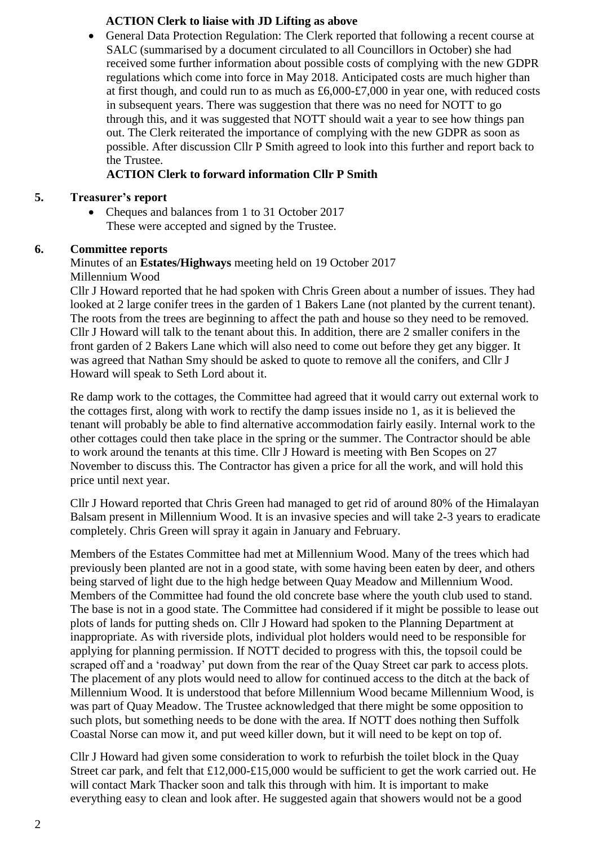### **ACTION Clerk to liaise with JD Lifting as above**

 General Data Protection Regulation: The Clerk reported that following a recent course at SALC (summarised by a document circulated to all Councillors in October) she had received some further information about possible costs of complying with the new GDPR regulations which come into force in May 2018. Anticipated costs are much higher than at first though, and could run to as much as £6,000-£7,000 in year one, with reduced costs in subsequent years. There was suggestion that there was no need for NOTT to go through this, and it was suggested that NOTT should wait a year to see how things pan out. The Clerk reiterated the importance of complying with the new GDPR as soon as possible. After discussion Cllr P Smith agreed to look into this further and report back to the Trustee.

# **ACTION Clerk to forward information Cllr P Smith**

### **5. Treasurer's report**

 Cheques and balances from 1 to 31 October 2017 These were accepted and signed by the Trustee.

## **6. Committee reports**

## Minutes of an **Estates/Highways** meeting held on 19 October 2017 Millennium Wood

Cllr J Howard reported that he had spoken with Chris Green about a number of issues. They had looked at 2 large conifer trees in the garden of 1 Bakers Lane (not planted by the current tenant). The roots from the trees are beginning to affect the path and house so they need to be removed. Cllr J Howard will talk to the tenant about this. In addition, there are 2 smaller conifers in the front garden of 2 Bakers Lane which will also need to come out before they get any bigger. It was agreed that Nathan Smy should be asked to quote to remove all the conifers, and Cllr J Howard will speak to Seth Lord about it.

Re damp work to the cottages, the Committee had agreed that it would carry out external work to the cottages first, along with work to rectify the damp issues inside no 1, as it is believed the tenant will probably be able to find alternative accommodation fairly easily. Internal work to the other cottages could then take place in the spring or the summer. The Contractor should be able to work around the tenants at this time. Cllr J Howard is meeting with Ben Scopes on 27 November to discuss this. The Contractor has given a price for all the work, and will hold this price until next year.

Cllr J Howard reported that Chris Green had managed to get rid of around 80% of the Himalayan Balsam present in Millennium Wood. It is an invasive species and will take 2-3 years to eradicate completely. Chris Green will spray it again in January and February.

Members of the Estates Committee had met at Millennium Wood. Many of the trees which had previously been planted are not in a good state, with some having been eaten by deer, and others being starved of light due to the high hedge between Quay Meadow and Millennium Wood. Members of the Committee had found the old concrete base where the youth club used to stand. The base is not in a good state. The Committee had considered if it might be possible to lease out plots of lands for putting sheds on. Cllr J Howard had spoken to the Planning Department at inappropriate. As with riverside plots, individual plot holders would need to be responsible for applying for planning permission. If NOTT decided to progress with this, the topsoil could be scraped off and a 'roadway' put down from the rear of the Quay Street car park to access plots. The placement of any plots would need to allow for continued access to the ditch at the back of Millennium Wood. It is understood that before Millennium Wood became Millennium Wood, is was part of Quay Meadow. The Trustee acknowledged that there might be some opposition to such plots, but something needs to be done with the area. If NOTT does nothing then Suffolk Coastal Norse can mow it, and put weed killer down, but it will need to be kept on top of.

Cllr J Howard had given some consideration to work to refurbish the toilet block in the Quay Street car park, and felt that £12,000-£15,000 would be sufficient to get the work carried out. He will contact Mark Thacker soon and talk this through with him. It is important to make everything easy to clean and look after. He suggested again that showers would not be a good